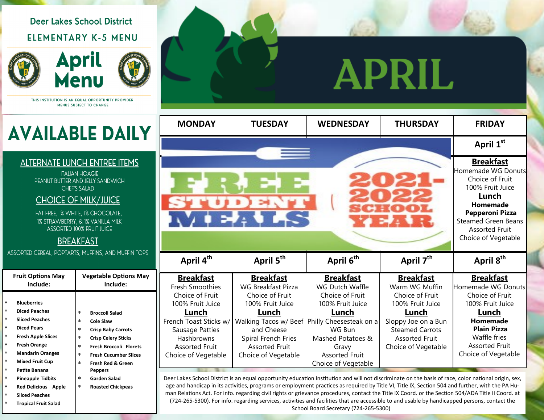## **Deer Lakes School District** ELEMENTARY K-5 MENU





THIS INSTITUTION IS AN EQUAL OPPORTUNITY PROVIDER MENUS SUBJECT TO CHANGE

# **AVAILABLE DAILY**

### **ALTERNATE LUNCH ENTREE ITEMS**

**ITALIAN HOAGIE** PEANUT BUTTER AND JELLY SANDWICH **CHEF'S SALAD** 

### **CHOICE OF MILK/JUICE**

FAT FREE, 1% WHITE, 1% CHOCOLATE, 1% STRAWBERRY, & 1% VANILLA MILK **ASSORTED 100% FRUIT JUICE** 

## **BREAKFAST**

ASSORTED CEREAL, POPTARTS, MUFFINS, AND MUFFIN TOPS

|                                      | <b>Fruit Options May</b><br>Include:                                                      | <b>Vegetable Options May</b><br>Include:                                                                                                               |  |
|--------------------------------------|-------------------------------------------------------------------------------------------|--------------------------------------------------------------------------------------------------------------------------------------------------------|--|
| $\ast$<br>$\ast$<br>$\ast$<br>$\ast$ | <b>Blueberries</b><br><b>Diced Peaches</b><br><b>Sliced Peaches</b><br><b>Diced Pears</b> | $\ast$<br><b>Broccoli Salad</b><br>$\ast$<br>Cole Slaw<br>$\ast$                                                                                       |  |
| $\ast$<br>$\star$<br>$\ast$          | <b>Fresh Apple Slices</b><br><b>Fresh Orange</b><br><b>Mandarin Oranges</b>               | <b>Crisp Baby Carrots</b><br>$\ast$<br><b>Crisp Celery Sticks</b><br>$\ast$<br><b>Fresh Broccoli Florets</b><br>$\ast$<br><b>Fresh Cucumber Slices</b> |  |
| $\star$<br>$\ast$<br>$\ast$          | <b>Mixed Fruit Cup</b><br><b>Petite Banana</b><br><b>Pineapple Tidbits</b>                | $\ast$<br>Fresh Red & Green<br><b>Peppers</b><br>$\ast$<br><b>Garden Salad</b>                                                                         |  |
| $\ast$<br>÷<br>÷                     | <b>Red Delicious Apple</b><br><b>Sliced Peaches</b><br>Tropical Eruit Colod               | $\ast$<br><b>Roasted Chickpeas</b>                                                                                                                     |  |

## PRIL A

| <b>MONDAY</b>            | <b>TUESDAY</b>                                       | <b>WEDNESDAY</b>                                | <b>THURSDAY</b>        | <b>FRIDAY</b>                         |  |
|--------------------------|------------------------------------------------------|-------------------------------------------------|------------------------|---------------------------------------|--|
|                          | April 1st                                            |                                                 |                        |                                       |  |
|                          |                                                      |                                                 |                        | <b>Breakfast</b>                      |  |
|                          |                                                      |                                                 |                        | Homemade WG Donuts<br>Choice of Fruit |  |
|                          | 100% Fruit Juice                                     |                                                 |                        |                                       |  |
|                          | Lunch                                                |                                                 |                        |                                       |  |
| <b>ST</b>                | SCHOOL                                               | Homemade                                        |                        |                                       |  |
| $\sqrt{2}$ and $\approx$ | <b>Pepperoni Pizza</b><br><b>Steamed Green Beans</b> |                                                 |                        |                                       |  |
|                          | <b>Assorted Fruit</b>                                |                                                 |                        |                                       |  |
|                          | Choice of Vegetable                                  |                                                 |                        |                                       |  |
|                          |                                                      |                                                 |                        |                                       |  |
| April 4 <sup>th</sup>    | April 5 <sup>th</sup>                                | April 6 <sup>th</sup>                           | April 7 <sup>th</sup>  | April 8 <sup>th</sup>                 |  |
| <b>Breakfast</b>         | <b>Breakfast</b>                                     | <b>Breakfast</b>                                | <b>Breakfast</b>       | <b>Breakfast</b>                      |  |
| <b>Fresh Smoothies</b>   | <b>WG Breakfast Pizza</b>                            | <b>WG Dutch Waffle</b>                          | Warm WG Muffin         | Homemade WG Donuts                    |  |
| Choice of Fruit          | Choice of Fruit                                      | Choice of Fruit                                 | Choice of Fruit        | Choice of Fruit                       |  |
| 100% Fruit Juice         | 100% Fruit Juice                                     | 100% Fruit Juice                                | 100% Fruit Juice       | 100% Fruit Juice                      |  |
| Lunch                    | <u>Lunch</u>                                         | Lunch                                           | Lunch                  | Lunch                                 |  |
| French Toast Sticks w/   |                                                      | Walking Tacos w/ Beef   Philly Cheesesteak on a | Sloppy Joe on a Bun    | Homemade                              |  |
| Sausage Patties          | and Cheese                                           | WG Bun                                          | <b>Steamed Carrots</b> | <b>Plain Pizza</b>                    |  |
| Hashbrowns               | Spiral French Fries                                  | Mashed Potatoes &                               | <b>Assorted Fruit</b>  | Waffle fries                          |  |
| <b>Assorted Fruit</b>    | <b>Assorted Fruit</b>                                | Gravy                                           | Choice of Vegetable    | <b>Assorted Fruit</b>                 |  |
| Choice of Vegetable      | Choice of Vegetable                                  | <b>Assorted Fruit</b>                           |                        | Choice of Vegetable                   |  |
|                          |                                                      | Choice of Vegetable                             |                        |                                       |  |

Deer Lakes School District is an equal opportunity education institution and will not discriminate on the basis of race, color national origin, sex, age and handicap in its activities, programs or employment practices as required by Title VI, Title IX, Section 504 and further, with the PA Human Relations Act. For info. regarding civil rights or grievance procedures, contact the Title IX Coord. or the Section 504/ADA Title II Coord. at (724-265-5300). For info. regarding services, activities and facilities that are accessible to and usable by handicapped persons, contact the School Board Secretary (724-265-5300)